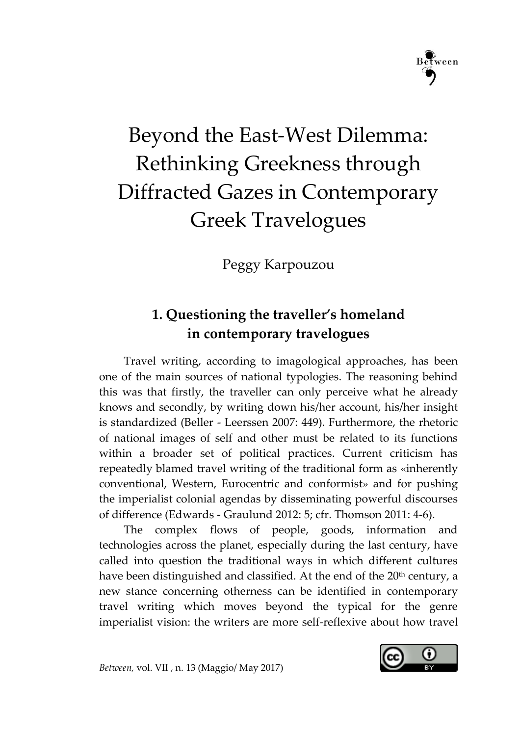# Beyond the East-West Dilemma: Rethinking Greekness through Diffracted Gazes in Contemporary Greek Travelogues

Peggy Karpouzou

# **1. Questioning the traveller's homeland in contemporary travelogues**

Τravel writing, according to imagological approaches, has been one of the main sources of national typologies. The reasoning behind this was that firstly, the traveller can only perceive what he already knows and secondly, by writing down his/her account, his/her insight is standardized (Beller - Leerssen 2007: 449). Furthermore, the rhetoric of national images of self and other must be related to its functions within a broader set of political practices. Current criticism has repeatedly blamed travel writing of the traditional form as «inherently conventional, Western, Eurocentric and conformist» and for pushing the imperialist colonial agendas by disseminating powerful discourses of difference (Edwards - Graulund 2012: 5; cfr. Thomson 2011: 4-6).

The complex flows of people, goods, information and technologies across the planet, especially during the last century, have called into question the traditional ways in which different cultures have been distinguished and classified. At the end of the 20<sup>th</sup> century, a new stance concerning otherness can be identified in contemporary travel writing which moves beyond the typical for the genre imperialist vision: the writers are more self-reflexive about how travel

*Between,* vol. VII , n. 13 (Maggio/ May 2017)

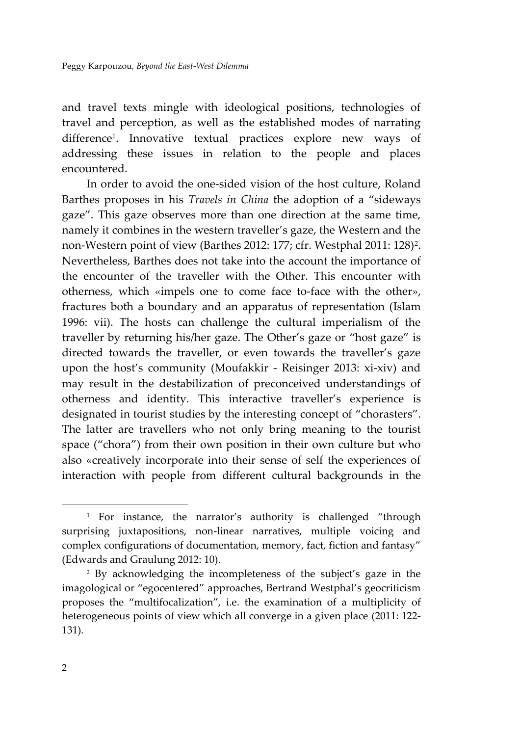and travel texts mingle with ideological positions, technologies of travel and perception, as well as the established modes of narrating difference<sup>1</sup> . Innovative textual practices explore new ways of addressing these issues in relation to the people and places encountered.

In order to avoid the one-sided vision of the host culture, Roland Barthes proposes in his *Travels in China* the adoption of a "sideways gaze". This gaze observes more than one direction at the same time, namely it combines in the western traveller's gaze, the Western and the non-Western point of view (Barthes 2012: 177; cfr. Westphal 2011: 128)<sup>2</sup>. Nevertheless, Barthes does not take into the account the importance of the encounter of the traveller with the Other. This encounter with otherness, which «impels one to come face to-face with the other», fractures both a boundary and an apparatus of representation (Islam 1996: vii). The hosts can challenge the cultural imperialism of the traveller by returning his/her gaze. The Other's gaze or "host gaze" is directed towards the traveller, or even towards the traveller's gaze upon the host's community (Moufakkir - Reisinger 2013: xi-xiv) and may result in the destabilization of preconceived understandings of otherness and identity. This interactive traveller's experience is designated in tourist studies by the interesting concept of "chorasters". The latter are travellers who not only bring meaning to the tourist space ("chora") from their own position in their own culture but who also «creatively incorporate into their sense of self the experiences of interaction with people from different cultural backgrounds in the

<sup>&</sup>lt;sup>1</sup> For instance, the narrator's authority is challenged "through surprising juxtapositions, non-linear narratives, multiple voicing and complex configurations of documentation, memory, fact, fiction and fantasy" (Edwards and Graulung 2012: 10).

<sup>2</sup> By acknowledging the incompleteness of the subject's gaze in the imagological or "egocentered" approaches, Bertrand Westphal's geocriticism proposes the "multifocalization", i.e. the examination of a multiplicity of heterogeneous points of view which all converge in a given place (2011: 122- 131).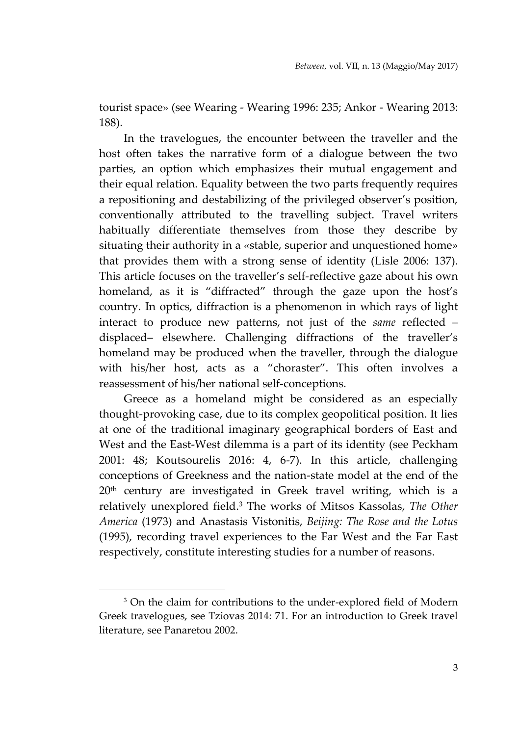tourist space» (see Wearing - Wearing 1996: 235; Ankor - Wearing 2013: 188).

In the travelogues, the encounter between the traveller and the host often takes the narrative form of a dialogue between the two parties, an option which emphasizes their mutual engagement and their equal relation. Equality between the two parts frequently requires a repositioning and destabilizing of the privileged observer's position, conventionally attributed to the travelling subject. Travel writers habitually differentiate themselves from those they describe by situating their authority in a «stable, superior and unquestioned home» that provides them with a strong sense of identity (Lisle 2006: 137). This article focuses on the traveller's self-reflective gaze about his own homeland, as it is "diffracted" through the gaze upon the host's country. In optics, diffraction is a phenomenon in which rays of light interact to produce new patterns, not just of the *same* reflected – displaced– elsewhere. Challenging diffractions of the traveller's homeland may be produced when the traveller, through the dialogue with his/her host, acts as a "choraster". This often involves a reassessment of his/her national self-conceptions.

Greece as a homeland might be considered as an especially thought-provoking case, due to its complex geopolitical position. It lies at one of the traditional imaginary geographical borders of East and West and the East-West dilemma is a part of its identity (see Peckham 2001: 48; Koutsourelis 2016: 4, 6-7). In this article, challenging conceptions of Greekness and the nation-state model at the end of the 20<sup>th</sup> century are investigated in Greek travel writing, which is a relatively unexplored field. <sup>3</sup> The works of Mitsos Kassolas, *The Other America* (1973) and Anastasis Vistonitis, *Beijing: The Rose and the Lotus*  (1995), recording travel experiences to the Far West and the Far East respectively, constitute interesting studies for a number of reasons.

<sup>&</sup>lt;sup>3</sup> On the claim for contributions to the under-explored field of Modern Greek travelogues, see Tziovas 2014: 71. For an introduction to Greek travel literature, see Panaretou 2002.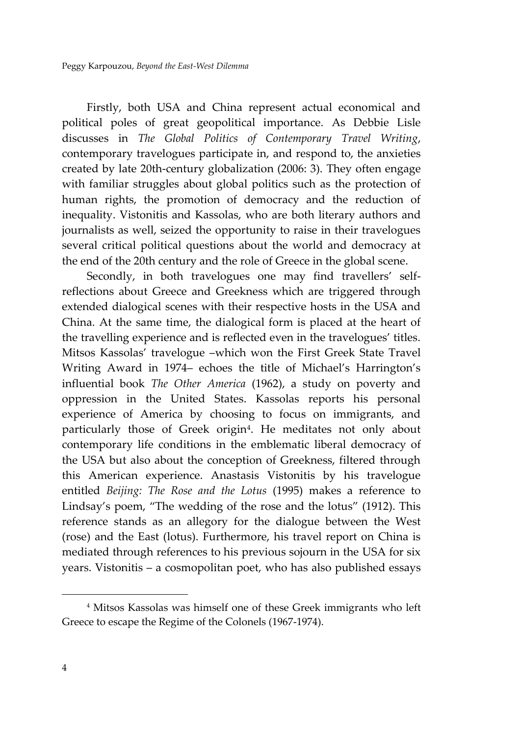Firstly, both USA and China represent actual economical and political poles of great geopolitical importance. As Debbie Lisle discusses in *The Global Politics of Contemporary Travel Writing*, contemporary travelogues participate in, and respond to, the anxieties created by late 20th-century globalization (2006: 3). They often engage with familiar struggles about global politics such as the protection of human rights, the promotion of democracy and the reduction of inequality. Vistonitis and Kassolas, who are both literary authors and journalists as well, seized the opportunity to raise in their travelogues several critical political questions about the world and democracy at the end of the 20th century and the role of Greece in the global scene.

Secondly, in both travelogues one may find travellers' selfreflections about Greece and Greekness which are triggered through extended dialogical scenes with their respective hosts in the USA and China. At the same time, the dialogical form is placed at the heart of the travelling experience and is reflected even in the travelogues' titles. Mitsos Kassolas' travelogue –which won the First Greek State Travel Writing Award in 1974– echoes the title of Michael's Harrington's influential book *The Other America* (1962), a study on poverty and oppression in the United States. Kassolas reports his personal experience of America by choosing to focus on immigrants, and particularly those of Greek origin<sup>4</sup> . He meditates not only about contemporary life conditions in the emblematic liberal democracy of the USA but also about the conception of Greekness, filtered through this American experience. Anastasis Vistonitis by his travelogue entitled *Beijing: The Rose and the Lotus* (1995) makes a reference to Lindsay's poem, "The wedding of the rose and the lotus" (1912). This reference stands as an allegory for the dialogue between the West (rose) and the East (lotus). Furthermore, his travel report on China is mediated through references to his previous sojourn in the USA for six years. Vistonitis – a cosmopolitan poet, who has also published essays

<sup>4</sup> Mitsos Kassolas was himself one of these Greek immigrants who left Greece to escape the Regime of the Colonels (1967-1974).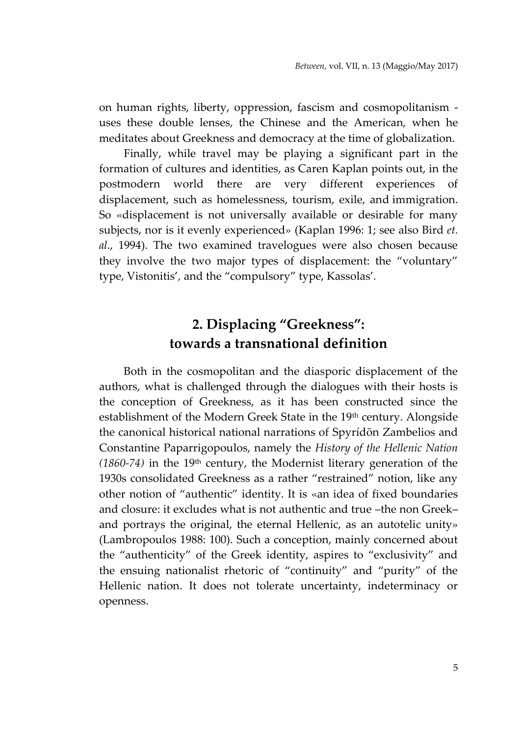on human rights, liberty, oppression, fascism and cosmopolitanism uses these double lenses, the Chinese and the American, when he meditates about Greekness and democracy at the time of globalization.

Finally, while travel may be playing a significant part in the formation of cultures and identities, as Caren Kaplan points out, in the postmodern world there are very different experiences of displacement, such as homelessness, tourism, exile, and immigration. So «displacement is not universally available or desirable for many subjects, nor is it evenly experienced» (Kaplan 1996: 1; see also Bird *et. al*., 1994). The two examined travelogues were also chosen because they involve the two major types of displacement: the "voluntary" type, Vistonitis'*,* and the "compulsory" type, Kassolas'*.*

# **2. Displacing "Greekness": towards a transnational definition**

Both in the cosmopolitan and the diasporic displacement of the authors, what is challenged through the dialogues with their hosts is the conception of Greekness, as it has been constructed since the establishment of the Modern Greek State in the 19th century. Alongside the canonical historical national narrations of Spyrídōn Zambelios and Constantine Paparrigopoulos, namely the *History of the Hellenic Nation (1860-74)* in the 19th century, the Modernist literary generation of the 1930s consolidated Greekness as a rather "restrained" notion, like any other notion of "authentic" identity. It is «an idea of fixed boundaries and closure: it excludes what is not authentic and true –the non Greek– and portrays the original, the eternal Hellenic, as an autotelic unity» (Lambropoulos 1988: 100). Such a conception, mainly concerned about the "authenticity" of the Greek identity, aspires to "exclusivity" and the ensuing nationalist rhetoric of "continuity" and "purity" of the Hellenic nation. It does not tolerate uncertainty, indeterminacy or openness.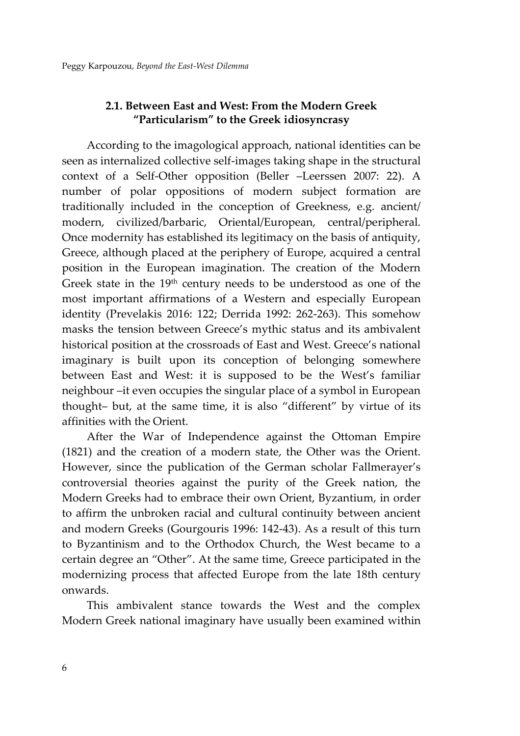#### **2.1. Between East and West: From the Modern Greek "Particularism" to the Greek idiosyncrasy**

According to the imagological approach, national identities can be seen as internalized collective self-images taking shape in the structural context of a Self-Other opposition (Beller –Leerssen 2007: 22). A number of polar oppositions of modern subject formation are traditionally included in the conception of Greekness, e.g. ancient/ modern, civilized/barbaric, Oriental/European, central/peripheral. Once modernity has established its legitimacy on the basis of antiquity, Greece, although placed at the periphery of Europe, acquired a central position in the European imagination. The creation of the Modern Greek state in the 19<sup>th</sup> century needs to be understood as one of the most important affirmations of a Western and especially European identity (Prevelakis 2016: 122; Derrida 1992: 262-263). This somehow masks the tension between Greece's mythic status and its ambivalent historical position at the crossroads of East and West. Greece's national imaginary is built upon its conception of belonging somewhere between East and West: it is supposed to be the West's familiar neighbour –it even occupies the singular place of a symbol in European thought– but, at the same time, it is also "different" by virtue of its affinities with the Orient.

After the War of Independence against the Ottoman Empire (1821) and the creation of a modern state, the Other was the Orient. However, since the publication of the German scholar Fallmerayer's controversial theories against the purity of the Greek nation, the Modern Greeks had to embrace their own Orient, Byzantium, in order to affirm the unbroken racial and cultural continuity between ancient and modern Greeks (Gourgouris 1996: 142-43). As a result of this turn to Byzantinism and to the Orthodox Church, the West became to a certain degree an "Other". At the same time, Greece participated in the modernizing process that affected Europe from the late 18th century onwards.

This ambivalent stance towards the West and the complex Modern Greek national imaginary have usually been examined within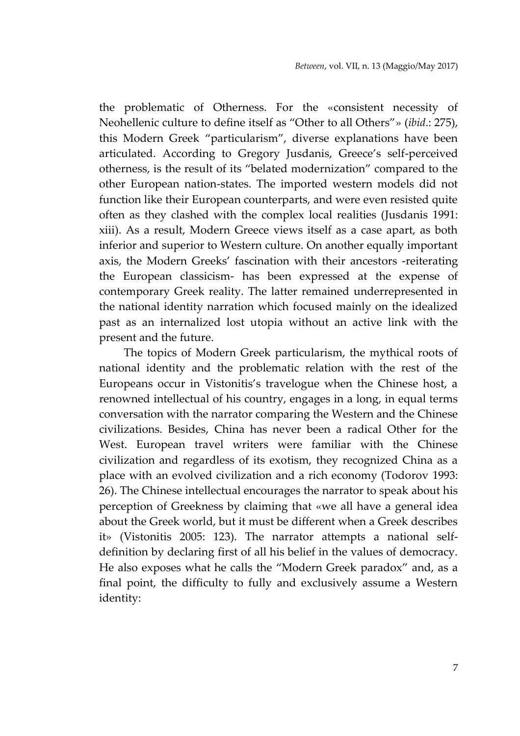the problematic of Otherness. For the «consistent necessity of Neohellenic culture to define itself as "Other to all Others"» (*ibid*.: 275), this Modern Greek "particularism", diverse explanations have been articulated. According to Gregory Jusdanis, Greece's self-perceived otherness, is the result of its "belated modernization" compared to the other European nation-states. The imported western models did not function like their European counterparts, and were even resisted quite often as they clashed with the complex local realities (Jusdanis 1991: xiii). As a result, Modern Greece views itself as a case apart, as both inferior and superior to Western culture. On another equally important axis, the Modern Greeks' fascination with their ancestors -reiterating the European classicism- has been expressed at the expense of contemporary Greek reality. The latter remained underrepresented in the national identity narration which focused mainly on the idealized past as an internalized lost utopia without an active link with the present and the future.

The topics of Modern Greek particularism, the mythical roots of national identity and the problematic relation with the rest of the Europeans occur in Vistonitis's travelogue when the Chinese host, a renowned intellectual of his country, engages in a long, in equal terms conversation with the narrator comparing the Western and the Chinese civilizations. Besides, China has never been a radical Other for the West. European travel writers were familiar with the Chinese civilization and regardless of its exotism, they recognized China as a place with an evolved civilization and a rich economy (Todorov 1993: 26). The Chinese intellectual encourages the narrator to speak about his perception of Greekness by claiming that «we all have a general idea about the Greek world, but it must be different when a Greek describes it» (Vistonitis 2005: 123). The narrator attempts a national selfdefinition by declaring first of all his belief in the values of democracy. He also exposes what he calls the "Modern Greek paradox" and, as a final point, the difficulty to fully and exclusively assume a Western identity: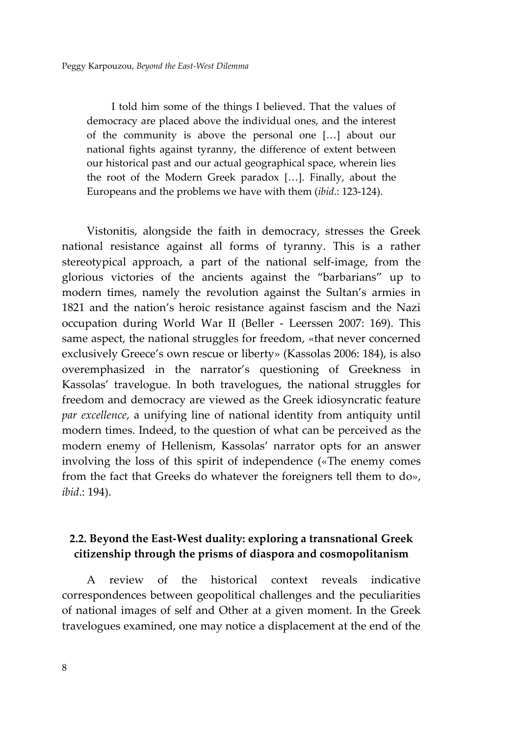I told him some of the things I believed. That the values of democracy are placed above the individual ones, and the interest of the community is above the personal one […] about our national fights against tyranny, the difference of extent between our historical past and our actual geographical space, wherein lies the root of the Modern Greek paradox […]. Finally, about the Europeans and the problems we have with them (*ibid*.: 123-124).

Vistonitis, alongside the faith in democracy, stresses the Greek national resistance against all forms of tyranny. This is a rather stereotypical approach, a part of the national self-image, from the glorious victories of the ancients against the "barbarians" up to modern times, namely the revolution against the Sultan's armies in 1821 and the nation's heroic resistance against fascism and the Nazi occupation during World War II (Beller - Leerssen 2007: 169). This same aspect, the national struggles for freedom, «that never concerned exclusively Greece's own rescue or liberty» (Kassolas 2006: 184), is also overemphasized in the narrator's questioning of Greekness in Kassolas' travelogue. In both travelogues, the national struggles for freedom and democracy are viewed as the Greek idiosyncratic feature *par excellence*, a unifying line of national identity from antiquity until modern times. Indeed, to the question of what can be perceived as the modern enemy of Hellenism, Kassolas' narrator opts for an answer involving the loss of this spirit of independence («The enemy comes from the fact that Greeks do whatever the foreigners tell them to do», *ibid*.: 194).

#### **2.2. Beyond the East-West duality: exploring a transnational Greek citizenship through the prisms of diaspora and cosmopolitanism**

A review of the historical context reveals indicative correspondences between geopolitical challenges and the peculiarities of national images of self and Other at a given moment. In the Greek travelogues examined, one may notice a displacement at the end of the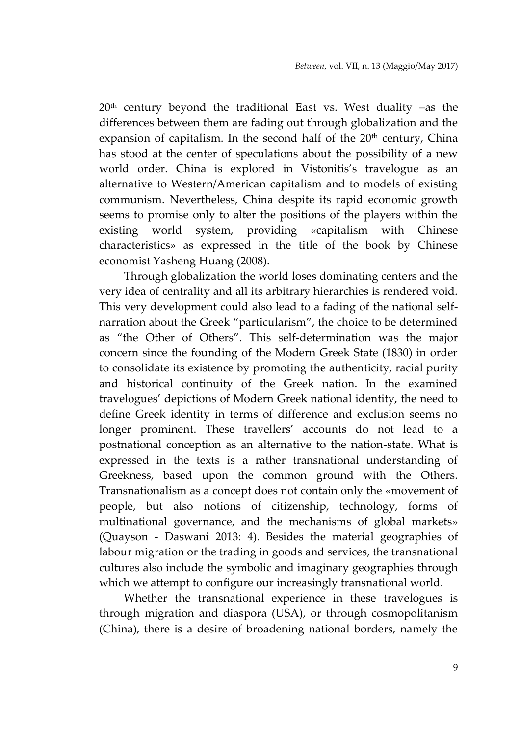$20<sup>th</sup>$  century beyond the traditional East vs. West duality  $-$ as the differences between them are fading out through globalization and the expansion of capitalism. In the second half of the  $20<sup>th</sup>$  century, China has stood at the center of speculations about the possibility of a new world order. China is explored in Vistonitis's travelogue as an alternative to Western/American capitalism and to models of existing communism. Nevertheless, China despite its rapid economic growth seems to promise only to alter the positions of the players within the existing world system, providing «capitalism with Chinese characteristics» as expressed in the title of the book by Chinese economist Yasheng Huang (2008).

Through globalization the world loses dominating centers and the very idea of centrality and all its arbitrary hierarchies is rendered void. This very development could also lead to a fading of the national selfnarration about the Greek "particularism", the choice to be determined as "the Other of Others". This self-determination was the major concern since the founding of the Modern Greek State (1830) in order to consolidate its existence by promoting the authenticity, racial purity and historical continuity of the Greek nation. In the examined travelogues' depictions of Modern Greek national identity, the need to define Greek identity in terms of difference and exclusion seems no longer prominent. These travellers' accounts do not lead to a postnational conception as an alternative to the nation-state. What is expressed in the texts is a rather transnational understanding of Greekness, based upon the common ground with the Others. Transnationalism as a concept does not contain only the «movement of people, but also notions of citizenship, technology, forms of multinational governance, and the mechanisms of global markets» (Quayson - Daswani 2013: 4). Besides the material geographies of labour migration or the trading in goods and services, the transnational cultures also include the symbolic and imaginary geographies through which we attempt to configure our increasingly transnational world.

Whether the transnational experience in these travelogues is through migration and diaspora (USA), or through cosmopolitanism (China), there is a desire of broadening national borders, namely the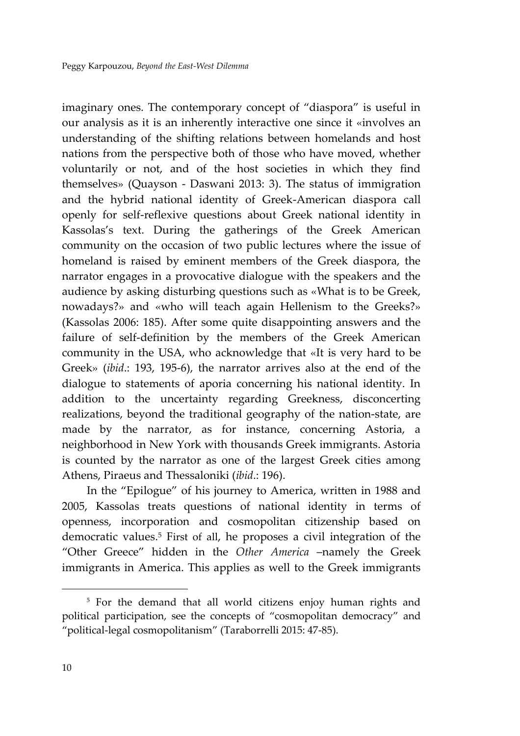imaginary ones. The contemporary concept of "diaspora" is useful in our analysis as it is an inherently interactive one since it «involves an understanding of the shifting relations between homelands and host nations from the perspective both of those who have moved, whether voluntarily or not, and of the host societies in which they find themselves» (Quayson - Daswani 2013: 3). The status of immigration and the hybrid national identity of Greek-American diaspora call openly for self-reflexive questions about Greek national identity in Kassolas's text. During the gatherings of the Greek American community on the occasion of two public lectures where the issue of homeland is raised by eminent members of the Greek diaspora, the narrator engages in a provocative dialogue with the speakers and the audience by asking disturbing questions such as «What is to be Greek, nowadays?» and «who will teach again Hellenism to the Greeks?» (Kassolas 2006: 185). After some quite disappointing answers and the failure of self-definition by the members of the Greek American community in the USA, who acknowledge that «It is very hard to be Greek» (*ibid*.: 193, 195-6), the narrator arrives also at the end of the dialogue to statements of aporia concerning his national identity. In addition to the uncertainty regarding Greekness, disconcerting realizations, beyond the traditional geography of the nation-state, are made by the narrator, as for instance, concerning Astoria, a neighborhood in New York with thousands Greek immigrants. Astoria is counted by the narrator as one of the largest Greek cities among Athens, Piraeus and Thessaloniki (*ibid*.: 196).

In the "Epilogue" of his journey to America, written in 1988 and 2005, Kassolas treats questions of national identity in terms of openness, incorporation and cosmopolitan citizenship based on democratic values. <sup>5</sup> First of all, he proposes a civil integration of the "Other Greece" hidden in the *Other America* –namely the Greek immigrants in America. This applies as well to the Greek immigrants

<sup>&</sup>lt;sup>5</sup> For the demand that all world citizens enjoy human rights and political participation, see the concepts of "cosmopolitan democracy" and "political-legal cosmopolitanism" (Taraborrelli 2015: 47-85).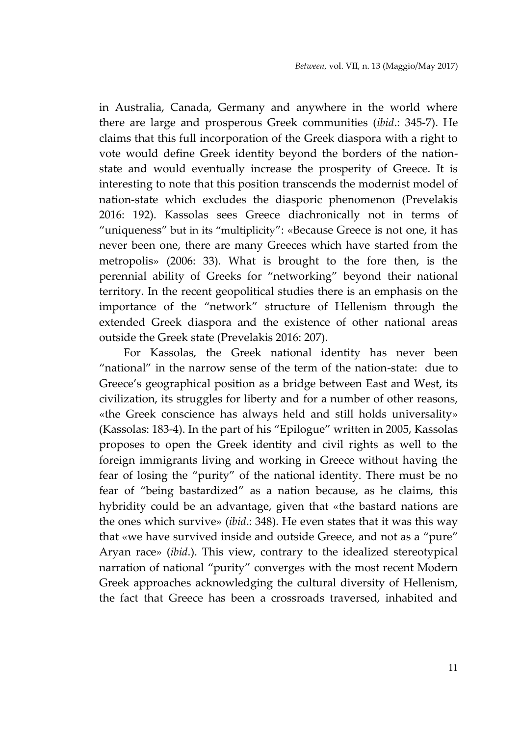in Australia, Canada, Germany and anywhere in the world where there are large and prosperous Greek communities (*ibid*.: 345-7). He claims that this full incorporation of the Greek diaspora with a right to vote would define Greek identity beyond the borders of the nationstate and would eventually increase the prosperity of Greece. It is interesting to note that this position transcends the modernist model of nation-state which excludes the diasporic phenomenon (Prevelakis 2016: 192). Kassolas sees Greece diachronically not in terms of "uniqueness" but in its "multiplicity": «Because Greece is not one, it has never been one, there are many Greeces which have started from the metropolis» (2006: 33). What is brought to the fore then, is the perennial ability of Greeks for "networking" beyond their national territory. In the recent geopolitical studies there is an emphasis on the importance of the "network" structure of Hellenism through the extended Greek diaspora and the existence of other national areas outside the Greek state (Prevelakis 2016: 207).

For Kassolas, the Greek national identity has never been "national" in the narrow sense of the term of the nation-state: due to Greece's geographical position as a bridge between East and West, its civilization, its struggles for liberty and for a number of other reasons, «the Greek conscience has always held and still holds universality» (Kassolas: 183-4). In the part of his "Epilogue" written in 2005, Kassolas proposes to open the Greek identity and civil rights as well to the foreign immigrants living and working in Greece without having the fear of losing the "purity" of the national identity. There must be no fear of "being bastardized" as a nation because, as he claims, this hybridity could be an advantage, given that «the bastard nations are the ones which survive» (*ibid*.: 348). He even states that it was this way that «we have survived inside and outside Greece, and not as a "pure" Aryan race» (*ibid*.). This view, contrary to the idealized stereotypical narration of national "purity" converges with the most recent Modern Greek approaches acknowledging the cultural diversity of Hellenism, the fact that Greece has been a crossroads traversed, inhabited and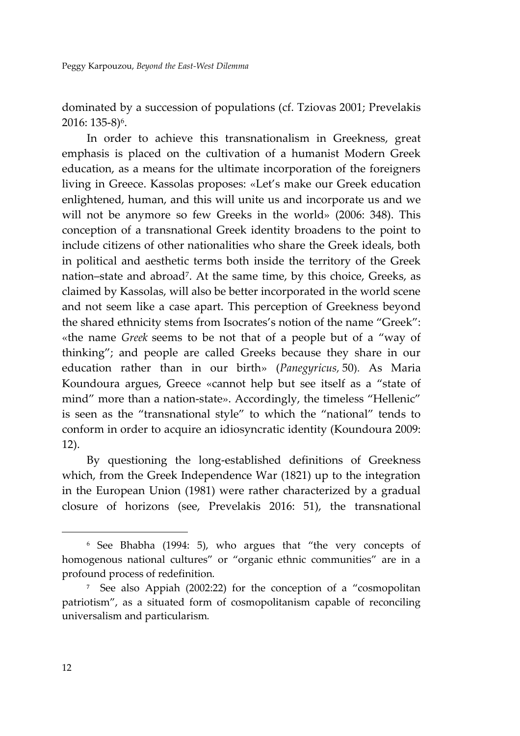dominated by a succession of populations (cf. Tziovas 2001; Prevelakis 2016: 135-8)<sup>6</sup>.

In order to achieve this transnationalism in Greekness, great emphasis is placed on the cultivation of a humanist Modern Greek education, as a means for the ultimate incorporation of the foreigners living in Greece. Kassolas proposes: «Let's make our Greek education enlightened, human, and this will unite us and incorporate us and we will not be anymore so few Greeks in the world» (2006: 348). This conception of a transnational Greek identity broadens to the point to include citizens of other nationalities who share the Greek ideals, both in political and aesthetic terms both inside the territory of the Greek nation–state and abroad<sup>7</sup> . At the same time, by this choice, Greeks, as claimed by Kassolas, will also be better incorporated in the world scene and not seem like a case apart. This perception of Greekness beyond the shared ethnicity stems from Isocrates's notion of the name "Greek": «the name *Greek* seems to be not that of a people but of a "way of thinking"; and people are called Greeks because they share in our education rather than in our birth» (*Panegyricus,* 50). As Maria Koundoura argues, Greece «cannot help but see itself as a "state of mind" more than a nation-state». Accordingly, the timeless "Hellenic" is seen as the "transnational style" to which the "national" tends to conform in order to acquire an idiosyncratic identity (Koundoura 2009: 12).

By questioning the long-established definitions of Greekness which, from the Greek Independence War (1821) up to the integration in the European Union (1981) were rather characterized by a gradual closure of horizons (see, Prevelakis 2016: 51), the transnational

<sup>6</sup> See Bhabha (1994: 5), who argues that "the very concepts of homogenous national cultures" or "organic ethnic communities" are in a profound process of redefinition.

<sup>7</sup> See also Appiah (2002:22) for the conception of a "cosmopolitan patriotism", as a situated form of cosmopolitanism capable of reconciling universalism and particularism.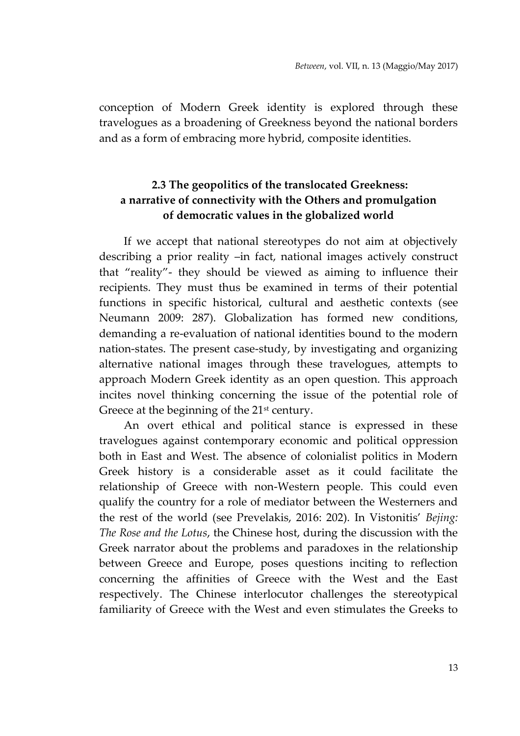conception of Modern Greek identity is explored through these travelogues as a broadening of Greekness beyond the national borders and as a form of embracing more hybrid, composite identities.

## **2.3 The geopolitics of the translocated Greekness: a narrative of connectivity with the Others and promulgation of democratic values in the globalized world**

If we accept that national stereotypes do not aim at objectively describing a prior reality –in fact, national images actively construct that "reality"- they should be viewed as aiming to influence their recipients. They must thus be examined in terms of their potential functions in specific historical, cultural and aesthetic contexts (see Neumann 2009: 287). Globalization has formed new conditions, demanding a re-evaluation of national identities bound to the modern nation-states. The present case-study, by investigating and organizing alternative national images through these travelogues, attempts to approach Modern Greek identity as an open question. This approach incites novel thinking concerning the issue of the potential role of Greece at the beginning of the 21<sup>st</sup> century.

An overt ethical and political stance is expressed in these travelogues against contemporary economic and political oppression both in East and West. The absence of colonialist politics in Modern Greek history is a considerable asset as it could facilitate the relationship of Greece with non-Western people. This could even qualify the country for a role of mediator between the Westerners and the rest of the world (see Prevelakis, 2016: 202). In Vistonitis' *Bejing: The Rose and the Lotus*, the Chinese host, during the discussion with the Greek narrator about the problems and paradoxes in the relationship between Greece and Europe, poses questions inciting to reflection concerning the affinities of Greece with the West and the East respectively. The Chinese interlocutor challenges the stereotypical familiarity of Greece with the West and even stimulates the Greeks to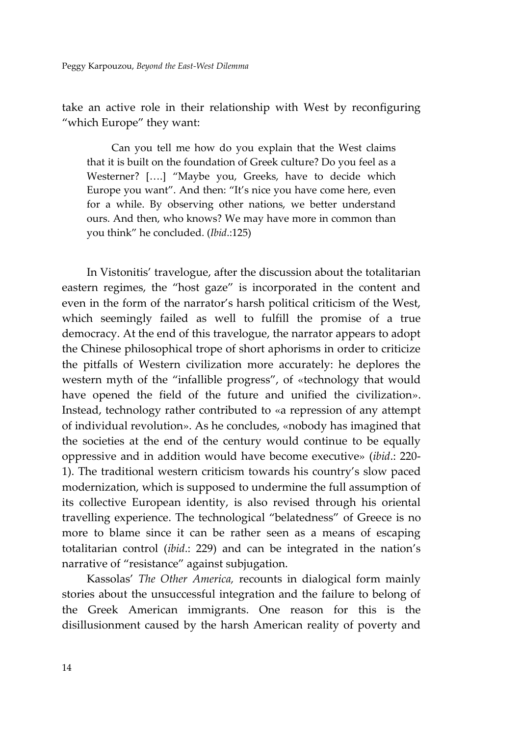take an active role in their relationship with West by reconfiguring "which Europe" they want:

Can you tell me how do you explain that the West claims that it is built on the foundation of Greek culture? Do you feel as a Westerner? [….] "Maybe you, Greeks, have to decide which Europe you want". And then: "It's nice you have come here, even for a while. By observing other nations, we better understand ours. And then, who knows? We may have more in common than you think" he concluded. (*Ibid*.:125)

In Vistonitis' travelogue, after the discussion about the totalitarian eastern regimes, the "host gaze" is incorporated in the content and even in the form of the narrator's harsh political criticism of the West, which seemingly failed as well to fulfill the promise of a true democracy. At the end of this travelogue, the narrator appears to adopt the Chinese philosophical trope of short aphorisms in order to criticize the pitfalls of Western civilization more accurately: he deplores the western myth of the "infallible progress", of «technology that would have opened the field of the future and unified the civilization». Instead, technology rather contributed to «a repression of any attempt of individual revolution». As he concludes, «nobody has imagined that the societies at the end of the century would continue to be equally oppressive and in addition would have become executive» (*ibid*.: 220- 1). The traditional western criticism towards his country's slow paced modernization, which is supposed to undermine the full assumption of its collective European identity, is also revised through his oriental travelling experience. The technological "belatedness" of Greece is no more to blame since it can be rather seen as a means of escaping totalitarian control (*ibid*.: 229) and can be integrated in the nation's narrative of "resistance" against subjugation.

Kassolas' *The Other America,* recounts in dialogical form mainly stories about the unsuccessful integration and the failure to belong of the Greek American immigrants. One reason for this is the disillusionment caused by the harsh American reality of poverty and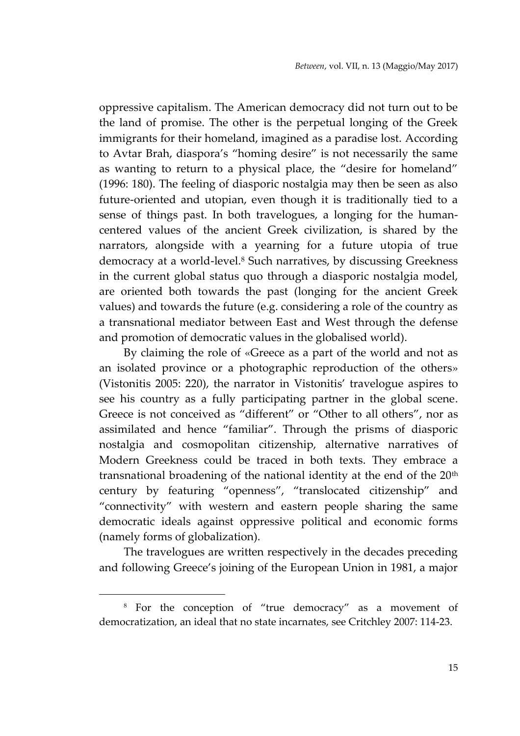oppressive capitalism. The American democracy did not turn out to be the land of promise. The other is the perpetual longing of the Greek immigrants for their homeland, imagined as a paradise lost. According to Avtar Brah, diaspora's "homing desire" is not necessarily the same as wanting to return to a physical place, the "desire for homeland" (1996: 180). The feeling of diasporic nostalgia may then be seen as also future-oriented and utopian, even though it is traditionally tied to a sense of things past. In both travelogues, a longing for the humancentered values of the ancient Greek civilization, is shared by the narrators, alongside with a yearning for a future utopia of true democracy at a world-level. <sup>8</sup> Such narratives, by discussing Greekness in the current global status quo through a diasporic nostalgia model, are oriented both towards the past (longing for the ancient Greek values) and towards the future (e.g. considering a role of the country as a transnational mediator between East and West through the defense and promotion of democratic values in the globalised world).

By claiming the role of «Greece as a part of the world and not as an isolated province or a photographic reproduction of the others» (Vistonitis 2005: 220), the narrator in Vistonitis' travelogue aspires to see his country as a fully participating partner in the global scene. Greece is not conceived as "different" or "Other to all others", nor as assimilated and hence "familiar". Through the prisms of diasporic nostalgia and cosmopolitan citizenship, alternative narratives of Modern Greekness could be traced in both texts. They embrace a transnational broadening of the national identity at the end of the 20<sup>th</sup> century by featuring "openness", "translocated citizenship" and "connectivity" with western and eastern people sharing the same democratic ideals against oppressive political and economic forms (namely forms of globalization).

The travelogues are written respectively in the decades preceding and following Greece's joining of the European Union in 1981, a major

<sup>8</sup> For the conception of "true democracy" as a movement of democratization, an ideal that no state incarnates, see Critchley 2007: 114-23.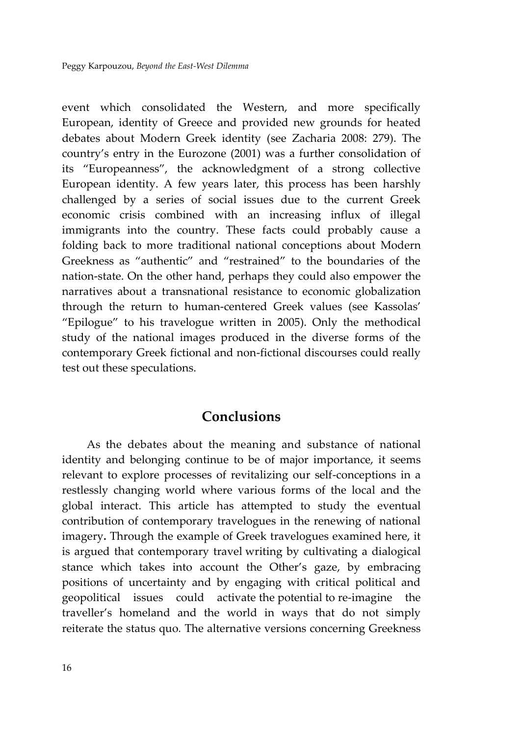event which consolidated the Western, and more specifically European, identity of Greece and provided new grounds for heated debates about Modern Greek identity (see Zacharia 2008: 279). The country's entry in the Eurozone (2001) was a further consolidation of its "Europeanness", the acknowledgment of a strong collective European identity. A few years later, this process has been harshly challenged by a series of social issues due to the current Greek economic crisis combined with an increasing influx of illegal immigrants into the country. These facts could probably cause a folding back to more traditional national conceptions about Modern Greekness as "authentic" and "restrained" to the boundaries of the nation-state. On the other hand, perhaps they could also empower the narratives about a transnational resistance to economic globalization through the return to human-centered Greek values (see Kassolas' "Epilogue" to his travelogue written in 2005). Only the methodical study of the national images produced in the diverse forms of the contemporary Greek fictional and non-fictional discourses could really test out these speculations.

## **Conclusions**

As the debates about the meaning and substance of national identity and belonging continue to be of major importance, it seems relevant to explore processes of revitalizing our self-conceptions in a restlessly changing world where various forms of the local and the global interact. This article has attempted to study the eventual contribution of contemporary travelogues in the renewing of national imagery**.** Through the example of Greek travelogues examined here, it is argued that contemporary travel writing by cultivating a dialogical stance which takes into account the Other's gaze, by embracing positions of uncertainty and by engaging with critical political and geopolitical issues could activate the potential to re-imagine the traveller's homeland and the world in ways that do not simply reiterate the status quo*.* The alternative versions concerning Greekness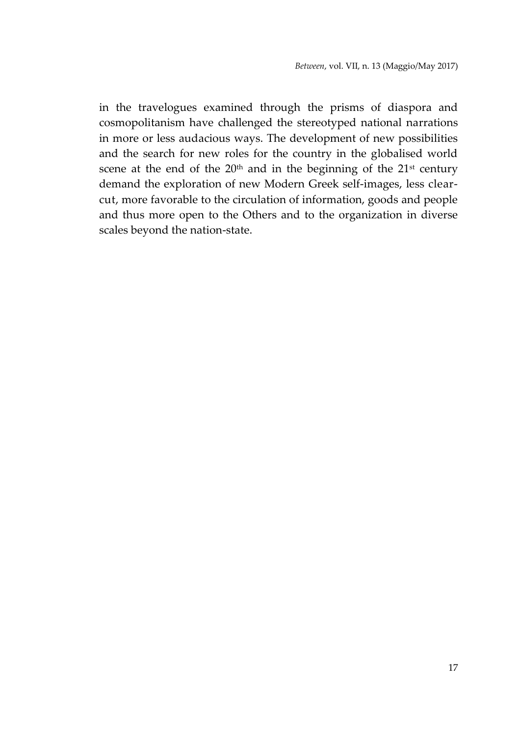in the travelogues examined through the prisms of diaspora and cosmopolitanism have challenged the stereotyped national narrations in more or less audacious ways. The development of new possibilities and the search for new roles for the country in the globalised world scene at the end of the  $20<sup>th</sup>$  and in the beginning of the  $21<sup>st</sup>$  century demand the exploration of new Modern Greek self-images, less clearcut, more favorable to the circulation of information, goods and people and thus more open to the Others and to the organization in diverse scales beyond the nation-state.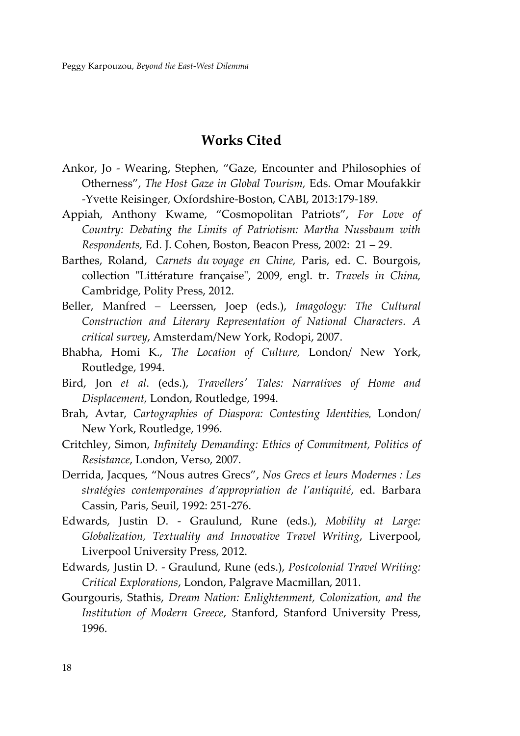#### **Works Cited**

- Ankor, Jo Wearing, Stephen, "Gaze, Encounter and Philosophies of Otherness", *The Host Gaze in Global Tourism,* Eds*.* Omar Moufakkir -Yvette Reisinger*,* Oxfordshire-Boston, CABI, 2013:179-189.
- Appiah, Anthony Kwame, "Cosmopolitan Patriots", *For Love of Country: Debating the Limits of Patriotism: Martha Nussbaum with Respondents,* Ed*.* J. Cohen, Boston, Beacon Press, 2002: 21 – 29.
- Barthes, Roland, *Carnets du voyage en Chine,* Paris, ed. C. Bourgois, collection "Littérature française", 2009, engl. tr. *Travels in China,*  Cambridge, Polity Press, 2012.
- Beller, Manfred Leerssen, Joep (eds.), *Imagology: The Cultural Construction and Literary Representation of National Characters. A critical survey*, Amsterdam/New York, Rodopi, 2007.
- Bhabha, Homi K., *The Location of Culture,* London/ New York, Routledge, 1994.
- Bird, Jon *et al*. (eds.), *Travellers' Tales: Narratives of Home and Displacement,* London, Routledge, 1994.
- Brah, Avtar, *Cartographies of Diaspora: Contesting Identities*, London/ New York, Routledge, 1996.
- Critchley, Simon, *Infinitely Demanding: Ethics of Commitment, Politics of Resistance*, London, Verso, 2007.
- Derrida, Jacques, "Nous autres Grecs", *Nos Grecs et leurs Modernes : Les stratégies contemporaines d'appropriation de l'antiquité*, ed. Barbara Cassin, Paris, Seuil, 1992: 251-276.
- Edwards, Justin D. Graulund, Rune (eds.), *Mobility at Large: Globalization, Textuality and Innovative Travel Writing*, Liverpool, Liverpool University Press, 2012.
- Edwards, Justin D. Graulund, Rune (eds.), *Postcolonial Travel Writing: Critical Explorations*, London, Palgrave Macmillan, 2011.
- Gourgouris, Stathis, *Dream Nation: Enlightenment, Colonization, and the Institution of Modern Greece*, Stanford, Stanford University Press, 1996.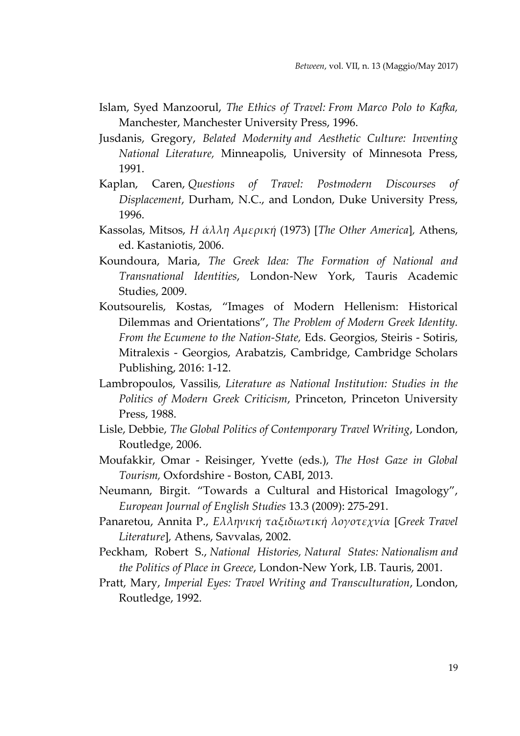- Islam, Syed Manzoorul, *The Ethics of Travel: From Marco Polo to Kafka,* Manchester, Manchester University Press, 1996.
- Jusdanis, Gregory, *Belated Modernity and Aesthetic Culture: Inventing National Literature,* Minneapolis, University of Minnesota Press, 1991.
- Kaplan, Caren, *Questions of Travel: Postmodern Discourses of Displacement*, Durham, N.C., and London, Duke University Press, 1996.
- Kassolas, Mitsos, *Η άλλη Αμερική* (1973) [*The Other America*]*,* Athens, ed. Kastaniotis, 2006.
- Koundoura, Maria, *The Greek Idea: The Formation of National and Transnational Identities*, London-New York, Tauris Academic Studies, 2009.
- Koutsourelis, Kostas, "Images of Modern Hellenism: Historical Dilemmas and Orientations", *The Problem of Modern Greek Identity. From the Ecumene to the Nation-State,* Eds. Georgios, Steiris - Sotiris, Mitralexis - Georgios, Arabatzis, Cambridge, Cambridge Scholars Publishing, 2016: 1-12.
- Lambropoulos, Vassilis*, Literature as National Institution: Studies in the Politics of Modern Greek Criticism*, Princeton, Princeton University Press, 1988.
- Lisle, Debbie, *The Global Politics of Contemporary Travel Writing*, London, Routledge, 2006.
- Moufakkir, Omar Reisinger, Yvette (eds.), *The Host Gaze in Global Tourism,* Oxfordshire - Boston, CABI, 2013.
- Neumann, Birgit. "Towards a Cultural and Historical Imagology", *European Journal of English Studies* 13.3 (2009): 275-291.
- Panaretou, Annita P., *Ελληνική ταξιδιωτική λογοτεχνία* [*Greek Travel Literature*]*,* Athens, Savvalas, 2002.
- Peckham, Robert S., *National Histories, Natural States: Nationalism and the Politics of Place in Greece*, London-New York, I.B. Tauris, 2001.
- Pratt, Mary, *Imperial Eyes: Travel Writing and Transculturation*, London, Routledge, 1992.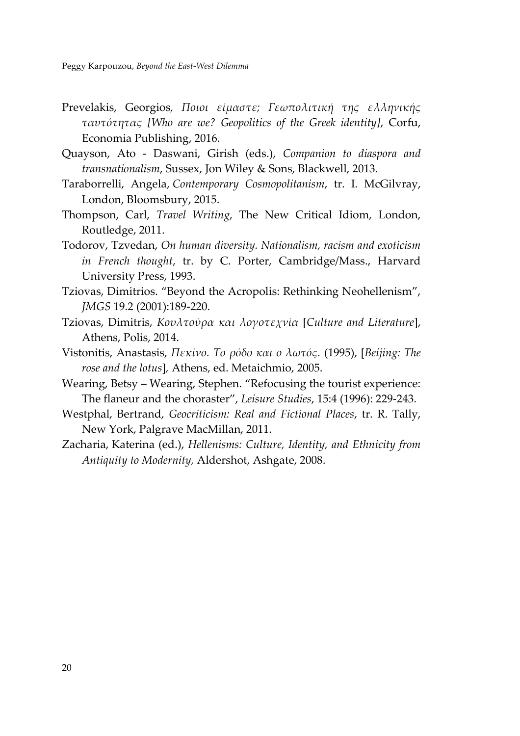- Prevelakis, Georgios*, Ποιοι είμαστε; Γεωπολιτική της ελληνικής ταυτότητας [Who are we? Geopolitics of the Greek identity]*, Corfu, Economia Publishing, 2016.
- Quayson, Ato Daswani, Girish (eds.), *Companion to diaspora and transnationalism*, Sussex, Jon Wiley & Sons, Blackwell, 2013.
- Taraborrelli, Angela, *Contemporary Cosmopolitanism*, tr. I. McGilvray, London, Bloomsbury, 2015.
- Thompson, Carl, *Travel Writing*, The New Critical Idiom, London, Routledge, 2011.
- Todorov, Tzvedan, *On human diversity. Nationalism, racism and exoticism in French thought*, tr. by C. Porter, Cambridge/Mass., Harvard University Press, 1993.
- Tziovas, Dimitrios. "Beyond the Acropolis: Rethinking Neohellenism", *JMGS* 19.2 (2001):189-220.
- Tziovas, Dimitris, *Κουλτούρα και λογοτεχνία* [*Culture and Literature*], Athens, Polis, 2014.
- Vistonitis, Anastasis, *Πεκίνο. Το ρόδο και ο λωτός.* (1995), [*Beijing: The rose and the lotus*]*,* Athens, ed. Metaichmio, 2005.
- Wearing, Betsy Wearing, Stephen. "Refocusing the tourist experience: The flaneur and the choraster", *Leisure Studies*, 15:4 (1996): 229-243.
- Westphal, Bertrand, *Geocriticism: Real and Fictional Places*, tr. R. Tally, New York, Palgrave MacMillan, 2011.
- Zacharia, Katerina (ed.), *Hellenisms: Culture, Identity, and Ethnicity from Antiquity to Modernity,* Aldershot, Ashgate, 2008.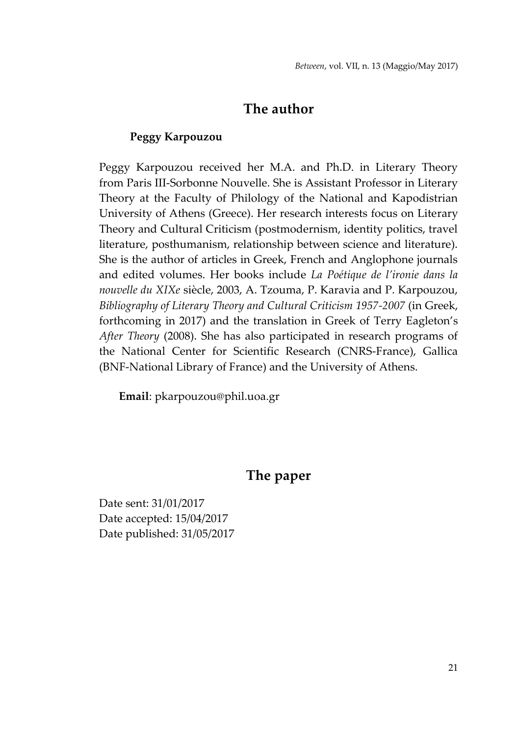## **The author**

#### **Peggy Karpouzou**

Peggy Karpouzou received her M.A. and Ph.D. in Literary Theory from Paris III-Sorbonne Nouvelle. She is Assistant Professor in Literary Theory at the Faculty of Philology of the National and Kapodistrian University of Athens (Greece). Her research interests focus on Literary Theory and Cultural Criticism (postmodernism, identity politics, travel literature, posthumanism, relationship between science and literature). She is the author of articles in Greek, French and Anglophone journals and edited volumes. Her books include *La Poétique de l'ironie dans la nouvelle du XIXe* siècle, 2003, A. Tzouma, P. Karavia and P. Karpouzou, *Bibliography of Literary Theory and Cultural Criticism 1957-2007* (in Greek, forthcoming in 2017) and the translation in Greek of Terry Eagleton's *After Theory* (2008). She has also participated in research programs of the National Center for Scientific Research (CNRS-France), Gallica (BNF-National Library of France) and the University of Athens.

**Email**: pkarpouzou@phil.uoa.gr

## **The paper**

Date sent: 31/01/2017 Date accepted: 15/04/2017 Date published: 31/05/2017